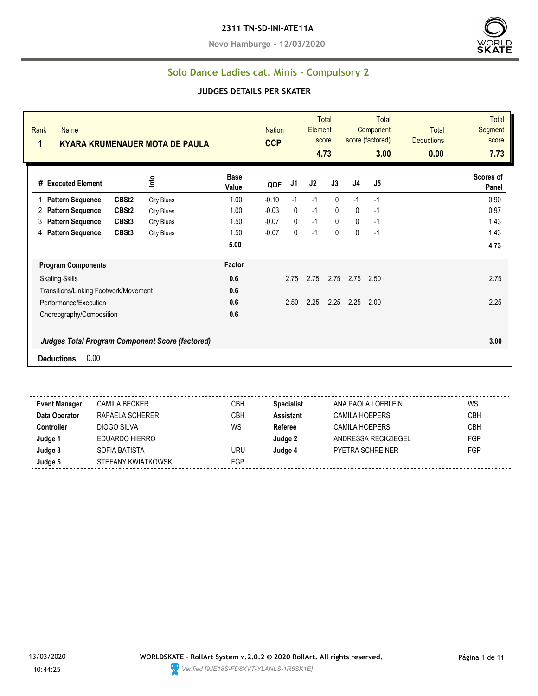#### **2311 TN-SD-INI-ATE11A**

**Novo Hamburgo - 12/03/2020**



#### **Solo Dance Ladies cat. Minis - Compulsory 2**

#### **JUDGES DETAILS PER SKATER**

| Rank<br>Name<br>1                                      | <b>KYARA KRUMENAUER MOTA DE PAULA</b> |                      | <b>Nation</b><br><b>CCP</b> |              | Element | Total<br>score<br>4.73 |                | <b>Total</b><br>Component<br>score (factored)<br>3.00 | <b>Total</b><br><b>Deductions</b><br>0.00 | <b>Total</b><br>Segment<br>score<br>7.73 |
|--------------------------------------------------------|---------------------------------------|----------------------|-----------------------------|--------------|---------|------------------------|----------------|-------------------------------------------------------|-------------------------------------------|------------------------------------------|
| # Executed Element                                     | Info                                  | <b>Base</b><br>Value | QOE                         | J1           | J2      | J3                     | J <sub>4</sub> | J5                                                    |                                           | Scores of<br>Panel                       |
| CBSt <sub>2</sub><br><b>Pattern Sequence</b>           | <b>City Blues</b>                     | 1.00                 | $-0.10$                     | $-1$         | $-1$    | $\mathbf{0}$           | $-1$           | $-1$                                                  |                                           | 0.90                                     |
| CBSt <sub>2</sub><br><b>Pattern Sequence</b><br>2      | <b>City Blues</b>                     | 1.00                 | $-0.03$                     | $\mathbf{0}$ | $-1$    | $\mathbf{0}$           | $\mathbf{0}$   | $-1$                                                  |                                           | 0.97                                     |
| 3<br><b>Pattern Sequence</b><br>CBSt <sub>3</sub>      | <b>City Blues</b>                     | 1.50                 | $-0.07$                     | $\mathbf{0}$ | $-1$    | $\mathbf{0}$           | $\mathbf{0}$   | $-1$                                                  |                                           | 1.43                                     |
| CBSt3<br><b>Pattern Sequence</b><br>4                  | <b>City Blues</b>                     | 1.50                 | $-0.07$                     | $\mathbf{0}$ | $-1$    | $\mathbf{0}$           | $\mathbf{0}$   | $-1$                                                  |                                           | 1.43                                     |
|                                                        |                                       | 5.00                 |                             |              |         |                        |                |                                                       |                                           | 4.73                                     |
| <b>Program Components</b>                              |                                       | Factor               |                             |              |         |                        |                |                                                       |                                           |                                          |
| <b>Skating Skills</b>                                  |                                       | 0.6                  |                             | 2.75         | 2.75    | 2.75                   | 2.75           | 2.50                                                  |                                           | 2.75                                     |
| Transitions/Linking Footwork/Movement                  |                                       | 0.6                  |                             |              |         |                        |                |                                                       |                                           |                                          |
| Performance/Execution                                  |                                       | 0.6                  |                             | 2.50         | 2.25    | 2.25                   | 2.25           | 2.00                                                  |                                           | 2.25                                     |
| Choreography/Composition                               |                                       | 0.6                  |                             |              |         |                        |                |                                                       |                                           |                                          |
| <b>Judges Total Program Component Score (factored)</b> |                                       |                      |                             |              |         |                        |                |                                                       |                                           | 3.00                                     |
| 0.00<br><b>Deductions</b>                              |                                       |                      |                             |              |         |                        |                |                                                       |                                           |                                          |

---------------**Event Manager** CAMILA BECKER CAMICA CBH Specialist ANA PAOLA LOEBLEIN WS **Data Operator** RAFAELA SCHERER CBH **Assistant** CAMILA HOEPERS CBH **Controller** DIOGO SILVA WS **Referee** CAMILA HOEPERS CBH **Judge 1** EDUARDO HIERRO **Judge 2** ANDRESSA RECKZIEGEL FGP **Judge 3** SOFIA BATISTA URU **Judge 4** PYETRA SCHREINER FGP **Judge 5** STEFANY KWIATKOWSKI FGP

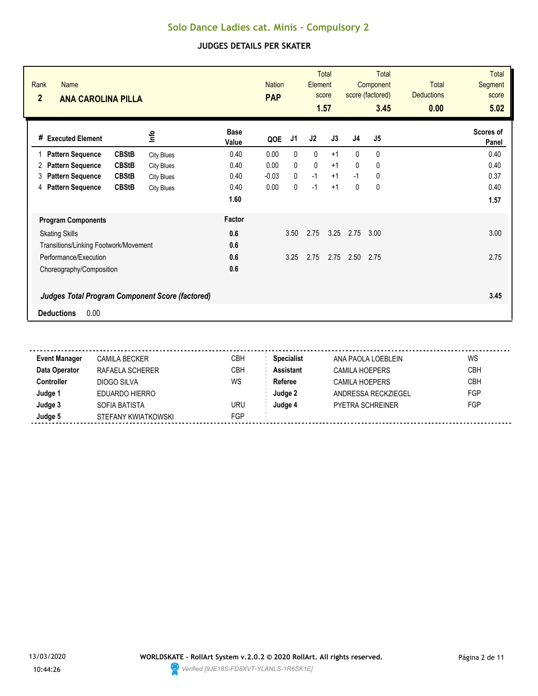| Rank<br>Name<br>$\overline{2}$<br><b>ANA CAROLINA PILLA</b> |                   |                      | <b>Nation</b><br><b>PAP</b> |              | Element | <b>Total</b><br>score<br>1.57 |                | <b>Total</b><br>Component<br>score (factored)<br>3.45 | <b>Total</b><br><b>Deductions</b><br>0.00 | <b>Total</b><br><b>Segment</b><br>score<br>5.02 |
|-------------------------------------------------------------|-------------------|----------------------|-----------------------------|--------------|---------|-------------------------------|----------------|-------------------------------------------------------|-------------------------------------------|-------------------------------------------------|
| # Executed Element                                          | lnfo              | <b>Base</b><br>Value | QOE                         | J1           | J2      | J3                            | J <sub>4</sub> | J <sub>5</sub>                                        |                                           | Scores of<br>Panel                              |
| <b>CBStB</b><br><b>Pattern Sequence</b>                     | <b>City Blues</b> | 0.40                 | 0.00                        | $\mathbf{0}$ | 0       | $+1$                          | $\mathbf{0}$   | $\mathbf{0}$                                          |                                           | 0.40                                            |
| <b>CBStB</b><br><b>Pattern Sequence</b><br>2                | <b>City Blues</b> | 0.40                 | 0.00                        | 0            | 0       | $+1$                          | $\mathbf{0}$   | 0                                                     |                                           | 0.40                                            |
| <b>CBStB</b><br><b>Pattern Sequence</b><br>3                | <b>City Blues</b> | 0.40                 | $-0.03$                     | $\mathbf{0}$ | $-1$    | $+1$                          | $-1$           | 0                                                     |                                           | 0.37                                            |
| <b>CBStB</b><br><b>Pattern Sequence</b><br>4                | <b>City Blues</b> | 0.40                 | 0.00                        | $\mathbf{0}$ | $-1$    | $+1$                          | 0              | 0                                                     |                                           | 0.40                                            |
|                                                             |                   | 1.60                 |                             |              |         |                               |                |                                                       |                                           | 1.57                                            |
| <b>Program Components</b>                                   |                   | Factor               |                             |              |         |                               |                |                                                       |                                           |                                                 |
| <b>Skating Skills</b>                                       |                   | 0.6                  |                             | 3.50         | 2.75    | 3.25                          | 2.75           | 3.00                                                  |                                           | 3.00                                            |
| Transitions/Linking Footwork/Movement                       |                   | 0.6                  |                             |              |         |                               |                |                                                       |                                           |                                                 |
| Performance/Execution                                       |                   | 0.6                  |                             | 3.25         | 2.75    | 2.75                          | 2.50           | 2.75                                                  |                                           | 2.75                                            |
| Choreography/Composition                                    |                   | 0.6                  |                             |              |         |                               |                |                                                       |                                           |                                                 |
| <b>Judges Total Program Component Score (factored)</b>      |                   |                      |                             |              |         |                               |                |                                                       |                                           | 3.45                                            |
| 0.00<br><b>Deductions</b>                                   |                   |                      |                             |              |         |                               |                |                                                       |                                           |                                                 |

| CAMILA BECKER       | <b>CBH</b> | <b>Specialist</b> | ANA PAOLA LOEBLEIN      | WS         |
|---------------------|------------|-------------------|-------------------------|------------|
| RAFAELA SCHERER     | СВН        | <b>Assistant</b>  | <b>CAMILA HOEPERS</b>   | <b>CBH</b> |
| DIOGO SILVA         | WS         | Referee           | <b>CAMILA HOEPERS</b>   | <b>CBH</b> |
| EDUARDO HIERRO      |            | Judge 2           | ANDRESSA RECKZIEGEL     | FGP        |
| SOFIA BATISTA       | URU        | Judae 4           | <b>PYETRA SCHREINER</b> | FGP        |
| STEFANY KWIATKOWSKI | FGP        |                   |                         |            |
|                     |            |                   |                         |            |

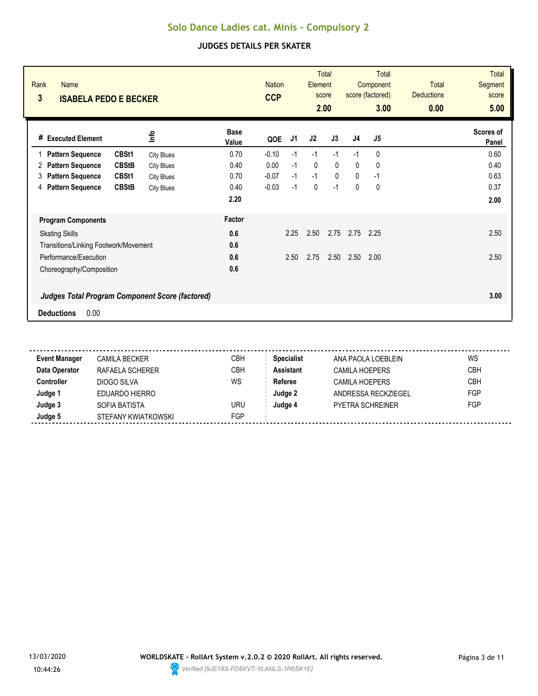| Rank<br><b>Name</b><br>3<br><b>ISABELA PEDO E BECKER</b> |                   | <b>Nation</b><br><b>CCP</b> |         | Total<br>Element<br>score<br>2.00 |              | <b>Total</b><br>Component<br>score (factored)<br>3.00 |                | <b>Total</b><br><b>Deductions</b><br>0.00 | <b>Total</b><br><b>Segment</b><br>score<br>5.00 |                    |
|----------------------------------------------------------|-------------------|-----------------------------|---------|-----------------------------------|--------------|-------------------------------------------------------|----------------|-------------------------------------------|-------------------------------------------------|--------------------|
| <b>Executed Element</b><br>#                             | lnfo              | <b>Base</b><br>Value        | QOE     | J1                                | J2           | J3                                                    | J <sub>4</sub> | J <sub>5</sub>                            |                                                 | Scores of<br>Panel |
| CBSt1<br><b>Pattern Sequence</b><br>1                    | <b>City Blues</b> | 0.70                        | $-0.10$ | $-1$                              | $-1$         | $-1$                                                  | $-1$           | 0                                         |                                                 | 0.60               |
| <b>CBStB</b><br><b>Pattern Sequence</b><br>2             | <b>City Blues</b> | 0.40                        | 0.00    | $-1$                              | $\mathbf{0}$ | $\mathbf{0}$                                          | $\mathbf{0}$   | $\mathbf{0}$                              |                                                 | 0.40               |
| <b>Pattern Sequence</b><br>CBSt1<br>3                    | <b>City Blues</b> | 0.70                        | $-0.07$ | $-1$                              | $-1$         | $\Omega$                                              | $\mathbf{0}$   | $-1$                                      |                                                 | 0.63               |
| <b>Pattern Sequence</b><br><b>CBStB</b><br>4             | <b>City Blues</b> | 0.40                        | $-0.03$ | $-1$                              | 0            | $-1$                                                  | $\mathbf{0}$   | 0                                         |                                                 | 0.37               |
|                                                          |                   | 2.20                        |         |                                   |              |                                                       |                |                                           |                                                 | 2.00               |
| <b>Program Components</b>                                |                   | Factor                      |         |                                   |              |                                                       |                |                                           |                                                 |                    |
| <b>Skating Skills</b>                                    |                   | 0.6                         |         | 2.25                              | 2.50         | 2.75                                                  | 2.75           | 2.25                                      |                                                 | 2.50               |
| Transitions/Linking Footwork/Movement                    |                   | 0.6                         |         |                                   |              |                                                       |                |                                           |                                                 |                    |
| Performance/Execution                                    |                   | 0.6                         |         | 2.50                              | 2.75         | 2.50                                                  | 2.50           | 2.00                                      |                                                 | 2.50               |
| Choreography/Composition                                 |                   | 0.6                         |         |                                   |              |                                                       |                |                                           |                                                 |                    |
| <b>Judges Total Program Component Score (factored)</b>   |                   |                             |         |                                   |              |                                                       |                |                                           |                                                 | 3.00               |
| 0.00<br><b>Deductions</b>                                |                   |                             |         |                                   |              |                                                       |                |                                           |                                                 |                    |

| CAMILA BECKER       | <b>CBH</b> | <b>Specialist</b> | ANA PAOLA LOEBLEIN      | WS         |
|---------------------|------------|-------------------|-------------------------|------------|
| RAFAELA SCHERER     | СВН        | <b>Assistant</b>  | <b>CAMILA HOEPERS</b>   | <b>CBH</b> |
| DIOGO SILVA         | WS         | Referee           | <b>CAMILA HOEPERS</b>   | <b>CBH</b> |
| EDUARDO HIERRO      |            | Judge 2           | ANDRESSA RECKZIEGEL     | FGP        |
| SOFIA BATISTA       | URU        | Judae 4           | <b>PYETRA SCHREINER</b> | FGP        |
| STEFANY KWIATKOWSKI | FGP        |                   |                         |            |
|                     |            |                   |                         |            |

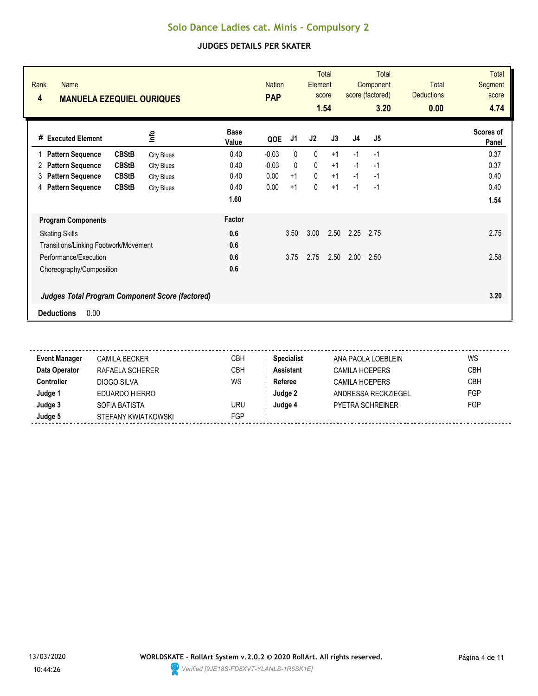| Rank<br><b>Name</b><br>4<br><b>MANUELA EZEQUIEL OURIQUES</b> |                   |                      | <b>Nation</b><br><b>PAP</b> |              | Element | <b>Total</b><br>score<br>1.54 |                | <b>Total</b><br>Component<br>score (factored)<br>3.20 | Total<br><b>Deductions</b><br>0.00 | <b>Total</b><br>Segment<br>score<br>4.74 |
|--------------------------------------------------------------|-------------------|----------------------|-----------------------------|--------------|---------|-------------------------------|----------------|-------------------------------------------------------|------------------------------------|------------------------------------------|
| # Executed Element                                           | <u>o</u>          | <b>Base</b><br>Value | QOE                         | J1           | J2      | J3                            | J <sub>4</sub> | J <sub>5</sub>                                        |                                    | Scores of<br>Panel                       |
| <b>CBStB</b><br><b>Pattern Sequence</b>                      | <b>City Blues</b> | 0.40                 | $-0.03$                     | $\mathbf{0}$ | 0       | $+1$                          | $-1$           | $-1$                                                  |                                    | 0.37                                     |
| <b>CBStB</b><br><b>Pattern Sequence</b><br>2                 | <b>City Blues</b> | 0.40                 | $-0.03$                     | 0            | 0       | $+1$                          | $-1$           | $-1$                                                  |                                    | 0.37                                     |
| <b>CBStB</b><br><b>Pattern Sequence</b><br>3                 | <b>City Blues</b> | 0.40                 | 0.00                        | $+1$         | 0       | $+1$                          | $-1$           | $-1$                                                  |                                    | 0.40                                     |
| <b>CBStB</b><br><b>Pattern Sequence</b><br>4                 | <b>City Blues</b> | 0.40                 | 0.00                        | $+1$         | 0       | $+1$                          | $-1$           | $-1$                                                  |                                    | 0.40                                     |
|                                                              |                   | 1.60                 |                             |              |         |                               |                |                                                       |                                    | 1.54                                     |
| <b>Program Components</b>                                    |                   | Factor               |                             |              |         |                               |                |                                                       |                                    |                                          |
| <b>Skating Skills</b>                                        |                   | 0.6                  |                             | 3.50         | 3.00    | 2.50                          | 2.25           | 2.75                                                  |                                    | 2.75                                     |
| Transitions/Linking Footwork/Movement                        |                   | 0.6                  |                             |              |         |                               |                |                                                       |                                    |                                          |
| Performance/Execution                                        |                   | 0.6                  |                             | 3.75         | 2.75    | 2.50                          | 2.00           | 2.50                                                  |                                    | 2.58                                     |
| Choreography/Composition                                     |                   | 0.6                  |                             |              |         |                               |                |                                                       |                                    |                                          |
| <b>Judges Total Program Component Score (factored)</b>       |                   |                      |                             |              |         |                               |                |                                                       |                                    | 3.20                                     |
| 0.00<br><b>Deductions</b>                                    |                   |                      |                             |              |         |                               |                |                                                       |                                    |                                          |

| <b>Event Manager</b> | <b>CAMILA BECKER</b> | CBH | <b>Specialist</b> | ANA PAOLA LOEBLEIN      | WS         |
|----------------------|----------------------|-----|-------------------|-------------------------|------------|
| Data Operator        | RAFAELA SCHERER      | CBH | <b>Assistant</b>  | <b>CAMILA HOEPERS</b>   | <b>CBH</b> |
| Controller           | DIOGO SILVA          | WS  | Referee           | <b>CAMILA HOEPERS</b>   | <b>CBH</b> |
| Judge '              | EDUARDO HIERRO       |     | Judge 2           | ANDRESSA RECKZIEGEL     | <b>FGP</b> |
| Judge 3              | SOFIA BATISTA        | URU | Judae 4           | <b>PYETRA SCHREINER</b> | <b>FGP</b> |
| Judge 5              | STEFANY KWIATKOWSKI  | FGP |                   |                         |            |

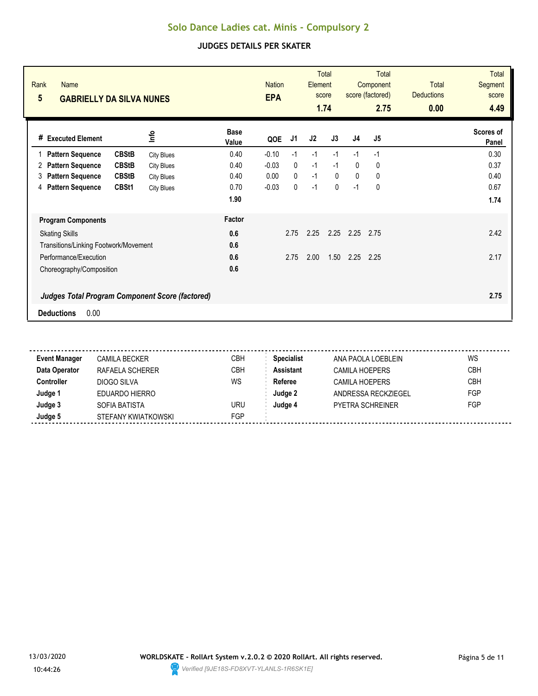| Rank<br><b>Name</b><br>$5\overline{)}$<br><b>GABRIELLY DA SILVA NUNES</b> |                   | <b>Nation</b><br><b>EPA</b> |         | <b>Total</b><br>Element<br>score<br>1.74 |      | <b>Total</b><br>Component<br>score (factored)<br>2.75 |                | <b>Total</b><br><b>Deductions</b><br>0.00 | <b>Total</b><br>Segment<br>score<br>4.49 |                    |
|---------------------------------------------------------------------------|-------------------|-----------------------------|---------|------------------------------------------|------|-------------------------------------------------------|----------------|-------------------------------------------|------------------------------------------|--------------------|
| <b>Executed Element</b><br>#                                              | lnfo              | <b>Base</b><br>Value        | QOE     | J1                                       | J2   | J3                                                    | J <sub>4</sub> | J <sub>5</sub>                            |                                          | Scores of<br>Panel |
| <b>CBStB</b><br><b>Pattern Sequence</b><br>1                              | <b>City Blues</b> | 0.40                        | $-0.10$ | $-1$                                     | $-1$ | $-1$                                                  | $-1$           | $-1$                                      |                                          | 0.30               |
| <b>CBStB</b><br><b>Pattern Sequence</b><br>2                              | <b>City Blues</b> | 0.40                        | $-0.03$ | 0                                        | $-1$ | $-1$                                                  | $\mathbf{0}$   | $\mathbf{0}$                              |                                          | 0.37               |
| <b>Pattern Sequence</b><br><b>CBStB</b><br>3                              | <b>City Blues</b> | 0.40                        | 0.00    | $\Omega$                                 | $-1$ | $\mathbf{0}$                                          | $\mathbf{0}$   | 0                                         |                                          | 0.40               |
| <b>Pattern Sequence</b><br>CBSt1<br>4                                     | <b>City Blues</b> | 0.70                        | $-0.03$ | 0                                        | $-1$ | $\mathbf{0}$                                          | $-1$           | 0                                         |                                          | 0.67               |
|                                                                           |                   | 1.90                        |         |                                          |      |                                                       |                |                                           |                                          | 1.74               |
| <b>Program Components</b>                                                 |                   | Factor                      |         |                                          |      |                                                       |                |                                           |                                          |                    |
| <b>Skating Skills</b>                                                     |                   | 0.6                         |         | 2.75                                     | 2.25 | 2.25                                                  | 2.25           | 2.75                                      |                                          | 2.42               |
| Transitions/Linking Footwork/Movement                                     |                   | 0.6                         |         |                                          |      |                                                       |                |                                           |                                          |                    |
| Performance/Execution                                                     |                   | 0.6                         |         | 2.75                                     | 2.00 | 1.50                                                  | 2.25           | 2.25                                      |                                          | 2.17               |
| Choreography/Composition                                                  |                   | 0.6                         |         |                                          |      |                                                       |                |                                           |                                          |                    |
| <b>Judges Total Program Component Score (factored)</b>                    |                   |                             |         |                                          |      |                                                       |                |                                           |                                          | 2.75               |
| 0.00<br><b>Deductions</b>                                                 |                   |                             |         |                                          |      |                                                       |                |                                           |                                          |                    |

| <b>Event Manager</b> | CAMILA BECKER       | <b>CBH</b> | <b>Specialist</b> | ANA PAOLA LOEBLEIN    | WS         |
|----------------------|---------------------|------------|-------------------|-----------------------|------------|
| Data Operator        | RAFAELA SCHERER     | <b>CBH</b> | <b>Assistant</b>  | <b>CAMILA HOEPERS</b> | <b>CBH</b> |
| Controller           | DIOGO SILVA         | WS         | Referee           | <b>CAMILA HOEPERS</b> | <b>CBH</b> |
| Judge 1              | EDUARDO HIERRO      |            | Judge 2           | ANDRESSA RECKZIEGEL   | FGP        |
| Judge 3              | SOFIA BATISTA       | URU        | Judge 4           | PYFTRA SCHRFINFR      | FGP        |
| Judge 5              | STEFANY KWIATKOWSKI | FGP        |                   |                       |            |
|                      |                     |            |                   |                       |            |

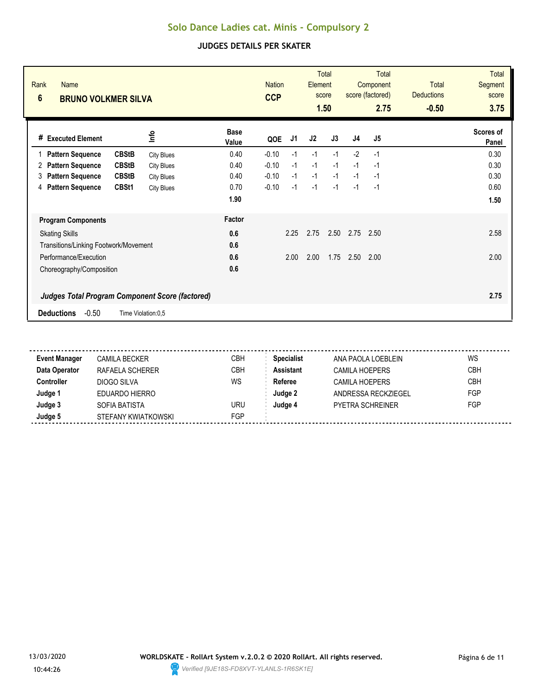| Rank<br><b>Name</b><br>$6\phantom{1}$<br><b>BRUNO VOLKMER SILVA</b> |                   |                      | <b>Nation</b><br><b>CCP</b> |      | Element | <b>Total</b><br>score<br>1.50 |                | <b>Total</b><br>Component<br>score (factored)<br>2.75 | <b>Total</b><br><b>Deductions</b><br>$-0.50$ | <b>Total</b><br>Segment<br>score<br>3.75 |
|---------------------------------------------------------------------|-------------------|----------------------|-----------------------------|------|---------|-------------------------------|----------------|-------------------------------------------------------|----------------------------------------------|------------------------------------------|
| <b>Executed Element</b><br>#                                        | <u>nfo</u>        | <b>Base</b><br>Value | QOE                         | J1   | J2      | J3                            | J <sub>4</sub> | J5                                                    |                                              | Scores of<br>Panel                       |
| <b>CBStB</b><br><b>Pattern Sequence</b><br>1                        | <b>City Blues</b> | 0.40                 | $-0.10$                     | $-1$ | $-1$    | $-1$                          | $-2$           | $-1$                                                  |                                              | 0.30                                     |
| <b>CBStB</b><br><b>Pattern Sequence</b><br>2                        | <b>City Blues</b> | 0.40                 | $-0.10$                     | $-1$ | $-1$    | $-1$                          | $-1$           | $-1$                                                  |                                              | 0.30                                     |
| <b>Pattern Sequence</b><br><b>CBStB</b><br>3                        | <b>City Blues</b> | 0.40                 | $-0.10$                     | $-1$ | $-1$    | $-1$                          | $-1$           | $-1$                                                  |                                              | 0.30                                     |
| <b>Pattern Sequence</b><br>CBSt1<br>4                               | <b>City Blues</b> | 0.70                 | $-0.10$                     | $-1$ | $-1$    | $-1$                          | $-1$           | $-1$                                                  |                                              | 0.60                                     |
|                                                                     |                   | 1.90                 |                             |      |         |                               |                |                                                       |                                              | 1.50                                     |
| <b>Program Components</b>                                           |                   | <b>Factor</b>        |                             |      |         |                               |                |                                                       |                                              |                                          |
| <b>Skating Skills</b>                                               |                   | 0.6                  |                             | 2.25 | 2.75    | 2.50                          | 2.75           | 2.50                                                  |                                              | 2.58                                     |
| Transitions/Linking Footwork/Movement                               |                   | 0.6                  |                             |      |         |                               |                |                                                       |                                              |                                          |
| Performance/Execution                                               |                   | 0.6                  |                             | 2.00 | 2.00    | 1.75                          | 2.50           | 2.00                                                  |                                              | 2.00                                     |
| Choreography/Composition                                            |                   | 0.6                  |                             |      |         |                               |                |                                                       |                                              |                                          |
| <b>Judges Total Program Component Score (factored)</b>              |                   |                      |                             |      |         |                               |                |                                                       |                                              | 2.75                                     |
| $-0.50$<br><b>Deductions</b><br>Time Violation:0,5                  |                   |                      |                             |      |         |                               |                |                                                       |                                              |                                          |

| <b>Event Manager</b> | <b>CAMILA BECKER</b> | СВН        | <b>Specialist</b> | ANA PAOLA LOEBLEIN    | WS         |
|----------------------|----------------------|------------|-------------------|-----------------------|------------|
| Data Operator        | RAFAELA SCHERER      | СВН        | <b>Assistant</b>  | <b>CAMILA HOEPERS</b> | <b>CBH</b> |
| <b>Controller</b>    | DIOGO SILVA          | WS         | Referee           | <b>CAMILA HOEPERS</b> | <b>CBH</b> |
| Judge 1              | EDUARDO HIERRO       |            | Judge 2           | ANDRESSA RECKZIEGEL   | FGP        |
| Judge 3              | SOFIA BATISTA        | uru        | Judge 4           | PYETRA SCHREINER      | FGP        |
| Judge 5              | STEFANY KWIATKOWSKI  | <b>FGP</b> |                   |                       |            |

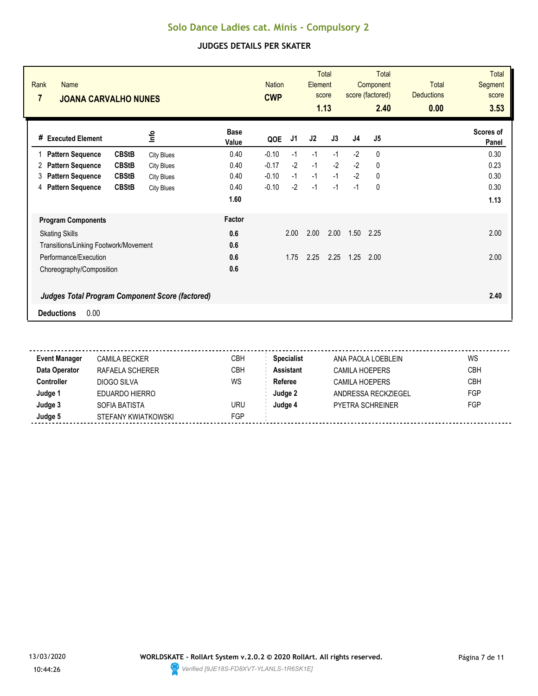| Rank<br><b>Name</b><br>$\overline{7}$<br><b>JOANA CARVALHO NUNES</b> |                   |                      | <b>Nation</b><br><b>CWP</b> |      | <b>Total</b><br>Element<br>score<br>1.13 |      | <b>Total</b><br>Component<br>score (factored)<br>2.40 |                | <b>Total</b><br><b>Deductions</b><br>0.00 | <b>Total</b><br>Segment<br>score<br>3.53 |
|----------------------------------------------------------------------|-------------------|----------------------|-----------------------------|------|------------------------------------------|------|-------------------------------------------------------|----------------|-------------------------------------------|------------------------------------------|
| # Executed Element                                                   | <u>lnfo</u>       | <b>Base</b><br>Value | QOE                         | J1   | J2                                       | J3   | J <sub>4</sub>                                        | J <sub>5</sub> |                                           | Scores of<br>Panel                       |
| <b>CBStB</b><br><b>Pattern Sequence</b>                              | <b>City Blues</b> | 0.40                 | $-0.10$                     | $-1$ | $-1$                                     | $-1$ | $-2$                                                  | 0              |                                           | 0.30                                     |
| <b>CBStB</b><br><b>Pattern Sequence</b><br>2                         | <b>City Blues</b> | 0.40                 | $-0.17$                     | $-2$ | $-1$                                     | $-2$ | $-2$                                                  | $\mathbf{0}$   |                                           | 0.23                                     |
| <b>CBStB</b><br><b>Pattern Sequence</b><br>3                         | <b>City Blues</b> | 0.40                 | $-0.10$                     | $-1$ | $-1$                                     | $-1$ | $-2$                                                  | 0              |                                           | 0.30                                     |
| <b>Pattern Sequence</b><br><b>CBStB</b><br>4                         | <b>City Blues</b> | 0.40                 | $-0.10$                     | $-2$ | $-1$                                     | $-1$ | $-1$                                                  | 0              |                                           | 0.30                                     |
|                                                                      |                   | 1.60                 |                             |      |                                          |      |                                                       |                |                                           | 1.13                                     |
| <b>Program Components</b>                                            |                   | Factor               |                             |      |                                          |      |                                                       |                |                                           |                                          |
| <b>Skating Skills</b>                                                |                   | 0.6                  |                             | 2.00 | 2.00                                     | 2.00 | 1.50                                                  | 2.25           |                                           | 2.00                                     |
| Transitions/Linking Footwork/Movement                                |                   | 0.6                  |                             |      |                                          |      |                                                       |                |                                           |                                          |
| Performance/Execution                                                |                   | 0.6                  |                             | 1.75 | 2.25                                     | 2.25 | 1.25                                                  | 2.00           |                                           | 2.00                                     |
| Choreography/Composition                                             |                   | 0.6                  |                             |      |                                          |      |                                                       |                |                                           |                                          |
| <b>Judges Total Program Component Score (factored)</b>               |                   |                      |                             |      |                                          |      |                                                       |                |                                           | 2.40                                     |
| 0.00<br><b>Deductions</b>                                            |                   |                      |                             |      |                                          |      |                                                       |                |                                           |                                          |

| CAMILA BECKER       | <b>CBH</b> | <b>Specialist</b> | ANA PAOLA LOEBLEIN      | WS         |
|---------------------|------------|-------------------|-------------------------|------------|
| RAFAELA SCHERER     | СВН        | <b>Assistant</b>  | <b>CAMILA HOEPERS</b>   | <b>CBH</b> |
| DIOGO SILVA         | WS         | Referee           | <b>CAMILA HOEPERS</b>   | <b>CBH</b> |
| EDUARDO HIERRO      |            | Judge 2           | ANDRESSA RECKZIEGEL     | FGP        |
| SOFIA BATISTA       | URU        | Judae 4           | <b>PYETRA SCHREINER</b> | FGP        |
| STEFANY KWIATKOWSKI | FGP        |                   |                         |            |
|                     |            |                   |                         |            |

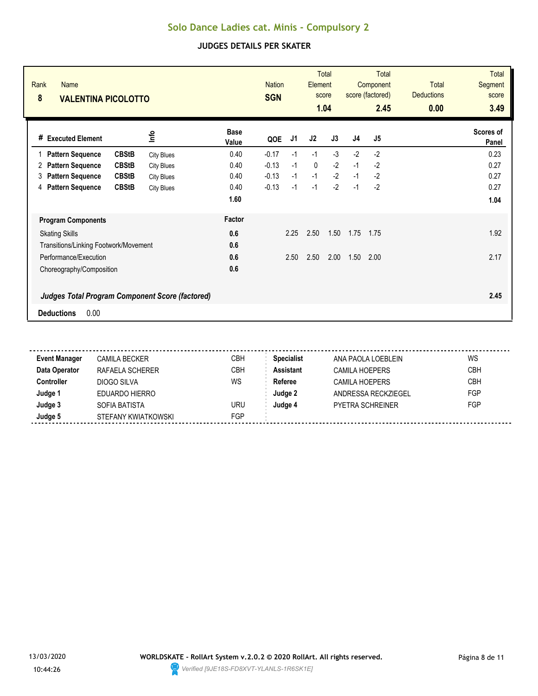| Rank<br><b>Name</b><br>8<br><b>VALENTINA PICOLOTTO</b> |                   |                      | <b>Nation</b><br><b>SGN</b> |      | Element | <b>Total</b><br>score<br>1.04 |                | <b>Total</b><br>Component<br>score (factored)<br>2.45 | <b>Total</b><br><b>Deductions</b><br>0.00 | <b>Total</b><br>Segment<br>score<br>3.49 |
|--------------------------------------------------------|-------------------|----------------------|-----------------------------|------|---------|-------------------------------|----------------|-------------------------------------------------------|-------------------------------------------|------------------------------------------|
| <b>Executed Element</b><br>#                           | lnfo              | <b>Base</b><br>Value | QOE                         | J1   | J2      | J3                            | J <sub>4</sub> | J <sub>5</sub>                                        |                                           | Scores of<br>Panel                       |
| <b>CBStB</b><br><b>Pattern Sequence</b><br>1           | <b>City Blues</b> | 0.40                 | $-0.17$                     | $-1$ | $-1$    | $-3$                          | $-2$           | $-2$                                                  |                                           | 0.23                                     |
| <b>CBStB</b><br><b>Pattern Sequence</b><br>2           | <b>City Blues</b> | 0.40                 | $-0.13$                     | $-1$ | 0       | $-2$                          | $-1$           | $-2$                                                  |                                           | 0.27                                     |
| <b>Pattern Sequence</b><br><b>CBStB</b><br>3           | <b>City Blues</b> | 0.40                 | $-0.13$                     | $-1$ | $-1$    | $-2$                          | $-1$           | $-2$                                                  |                                           | 0.27                                     |
| <b>Pattern Sequence</b><br><b>CBStB</b><br>4           | <b>City Blues</b> | 0.40                 | $-0.13$                     | $-1$ | $-1$    | $-2$                          | $-1$           | $-2$                                                  |                                           | 0.27                                     |
|                                                        |                   | 1.60                 |                             |      |         |                               |                |                                                       |                                           | 1.04                                     |
| <b>Program Components</b>                              |                   | Factor               |                             |      |         |                               |                |                                                       |                                           |                                          |
| <b>Skating Skills</b>                                  |                   | 0.6                  |                             | 2.25 | 2.50    | 1.50                          | 1.75           | 1.75                                                  |                                           | 1.92                                     |
| Transitions/Linking Footwork/Movement                  |                   | 0.6                  |                             |      |         |                               |                |                                                       |                                           |                                          |
| Performance/Execution                                  |                   | 0.6                  |                             | 2.50 | 2.50    | 2.00                          | 1.50           | 2.00                                                  |                                           | 2.17                                     |
| Choreography/Composition                               |                   | 0.6                  |                             |      |         |                               |                |                                                       |                                           |                                          |
| <b>Judges Total Program Component Score (factored)</b> |                   |                      |                             |      |         |                               |                |                                                       |                                           | 2.45                                     |
| 0.00<br><b>Deductions</b>                              |                   |                      |                             |      |         |                               |                |                                                       |                                           |                                          |

| CAMILA BECKER       | <b>CBH</b> | <b>Specialist</b> | ANA PAOLA LOEBLEIN      | WS         |
|---------------------|------------|-------------------|-------------------------|------------|
| RAFAELA SCHERER     | СВН        | <b>Assistant</b>  | <b>CAMILA HOEPERS</b>   | <b>CBH</b> |
| DIOGO SILVA         | WS         | Referee           | <b>CAMILA HOEPERS</b>   | <b>CBH</b> |
| EDUARDO HIERRO      |            | Judge 2           | ANDRESSA RECKZIEGEL     | FGP        |
| SOFIA BATISTA       | URU        | Judae 4           | <b>PYETRA SCHREINER</b> | FGP        |
| STEFANY KWIATKOWSKI | FGP        |                   |                         |            |
|                     |            |                   |                         |            |

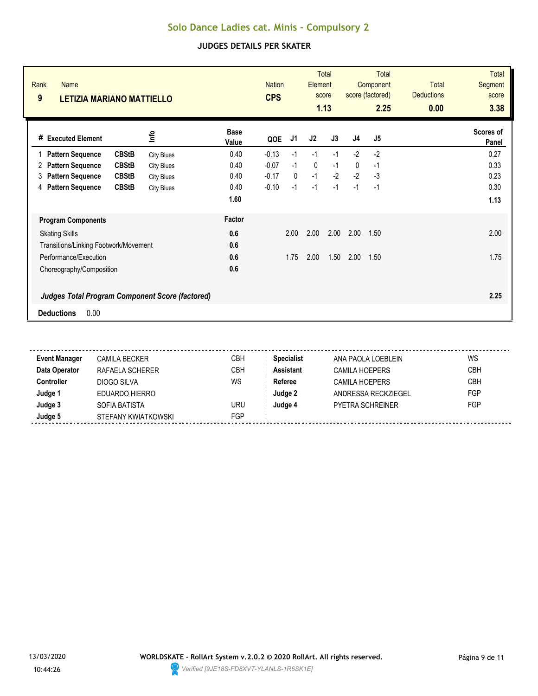| Rank<br><b>Name</b><br>9<br><b>LETIZIA MARIANO MATTIELLO</b> |                   |                      | <b>Nation</b><br><b>CPS</b> |              | Element      | <b>Total</b><br>score<br>1.13 |                | <b>Total</b><br>Component<br>score (factored)<br>2.25 | <b>Total</b><br><b>Deductions</b><br>0.00 | <b>Total</b><br><b>Segment</b><br>score<br>3.38 |
|--------------------------------------------------------------|-------------------|----------------------|-----------------------------|--------------|--------------|-------------------------------|----------------|-------------------------------------------------------|-------------------------------------------|-------------------------------------------------|
| # Executed Element                                           | <u>nfo</u>        | <b>Base</b><br>Value | QOE                         | J1           | J2           | J3                            | J <sub>4</sub> | J5                                                    |                                           | Scores of<br>Panel                              |
| <b>CBStB</b><br><b>Pattern Sequence</b><br>1                 | <b>City Blues</b> | 0.40                 | $-0.13$                     | $-1$         | $-1$         | $-1$                          | $-2$           | $-2$                                                  |                                           | 0.27                                            |
| <b>CBStB</b><br><b>Pattern Sequence</b><br>2                 | <b>City Blues</b> | 0.40                 | $-0.07$                     | $-1$         | $\mathbf{0}$ | $-1$                          | 0              | $-1$                                                  |                                           | 0.33                                            |
| <b>Pattern Sequence</b><br><b>CBStB</b><br>3                 | <b>City Blues</b> | 0.40                 | $-0.17$                     | $\mathbf{0}$ | $-1$         | $-2$                          | $-2$           | $-3$                                                  |                                           | 0.23                                            |
| <b>Pattern Sequence</b><br><b>CBStB</b><br>4                 | <b>City Blues</b> | 0.40                 | $-0.10$                     | $-1$         | $-1$         | $-1$                          | $-1$           | $-1$                                                  |                                           | 0.30                                            |
|                                                              |                   | 1.60                 |                             |              |              |                               |                |                                                       |                                           | 1.13                                            |
| <b>Program Components</b>                                    |                   | <b>Factor</b>        |                             |              |              |                               |                |                                                       |                                           |                                                 |
| <b>Skating Skills</b>                                        |                   | 0.6                  |                             | 2.00         | 2.00         | 2.00                          | 2.00           | 1.50                                                  |                                           | 2.00                                            |
| Transitions/Linking Footwork/Movement                        |                   | 0.6                  |                             |              |              |                               |                |                                                       |                                           |                                                 |
| Performance/Execution                                        |                   | 0.6                  |                             | 1.75         | 2.00         | 1.50                          | 2.00           | 1.50                                                  |                                           | 1.75                                            |
| Choreography/Composition                                     |                   | 0.6                  |                             |              |              |                               |                |                                                       |                                           |                                                 |
| <b>Judges Total Program Component Score (factored)</b>       |                   |                      |                             |              |              |                               |                |                                                       |                                           | 2.25                                            |
| 0.00<br><b>Deductions</b>                                    |                   |                      |                             |              |              |                               |                |                                                       |                                           |                                                 |

| CAMILA BECKER       | <b>CBH</b> | <b>Specialist</b> | ANA PAOLA LOEBLEIN      | WS         |
|---------------------|------------|-------------------|-------------------------|------------|
| RAFAELA SCHERER     | СВН        | <b>Assistant</b>  | <b>CAMILA HOEPERS</b>   | <b>CBH</b> |
| DIOGO SILVA         | WS         | Referee           | <b>CAMILA HOEPERS</b>   | <b>CBH</b> |
| EDUARDO HIERRO      |            | Judge 2           | ANDRESSA RECKZIEGEL     | FGP        |
| SOFIA BATISTA       | URU        | Judae 4           | <b>PYETRA SCHREINER</b> | FGP        |
| STEFANY KWIATKOWSKI | FGP        |                   |                         |            |
|                     |            |                   |                         |            |

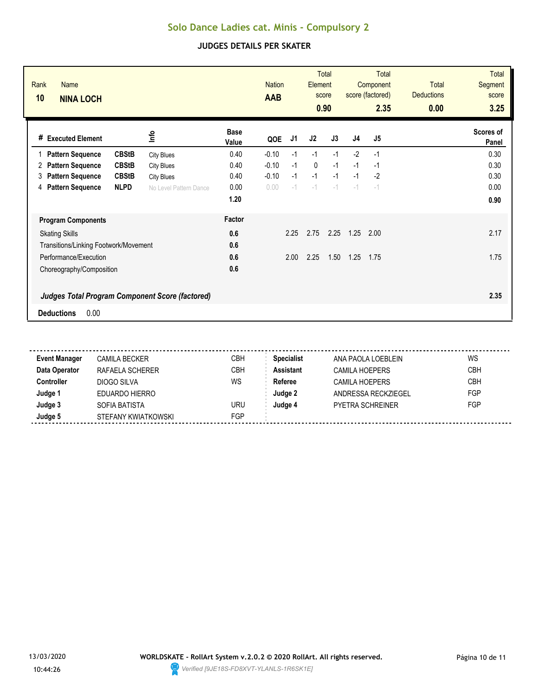| Rank<br>Name<br>10<br><b>NINA LOCH</b>                 |                        |                      | <b>Nation</b><br><b>AAB</b> |      | Element     | <b>Total</b><br>score<br>0.90 |                | Total<br>Component<br>score (factored)<br>2.35 | <b>Total</b><br><b>Deductions</b><br>0.00 | <b>Total</b><br><b>Segment</b><br>score<br>3.25 |
|--------------------------------------------------------|------------------------|----------------------|-----------------------------|------|-------------|-------------------------------|----------------|------------------------------------------------|-------------------------------------------|-------------------------------------------------|
| # Executed Element                                     | ۴ů                     | <b>Base</b><br>Value | QOE                         | J1   | J2          | J3                            | J <sub>4</sub> | J <sub>5</sub>                                 |                                           | Scores of<br>Panel                              |
| <b>CBStB</b><br><b>Pattern Sequence</b>                | <b>City Blues</b>      | 0.40                 | $-0.10$                     | $-1$ | $-1$        | $-1$                          | $-2$           | $-1$                                           |                                           | 0.30                                            |
| <b>CBStB</b><br><b>Pattern Sequence</b><br>2           | <b>City Blues</b>      | 0.40                 | $-0.10$                     | $-1$ | $\mathbf 0$ | $-1$                          | $-1$           | $-1$                                           |                                           | 0.30                                            |
| <b>CBStB</b><br><b>Pattern Sequence</b><br>3           | <b>City Blues</b>      | 0.40                 | $-0.10$                     | $-1$ | $-1$        | $-1$                          | $-1$           | $-2$                                           |                                           | 0.30                                            |
| <b>NLPD</b><br><b>Pattern Sequence</b><br>4            | No Level Pattern Dance | 0.00                 | 0.00                        | $-1$ | $-1$        | $-1$                          | $-1$           | $-1$                                           |                                           | 0.00                                            |
|                                                        |                        | 1.20                 |                             |      |             |                               |                |                                                |                                           | 0.90                                            |
| <b>Program Components</b>                              |                        | Factor               |                             |      |             |                               |                |                                                |                                           |                                                 |
| <b>Skating Skills</b>                                  |                        | 0.6                  |                             | 2.25 | 2.75        | 2.25                          | 1.25           | 2.00                                           |                                           | 2.17                                            |
| Transitions/Linking Footwork/Movement                  |                        | 0.6                  |                             |      |             |                               |                |                                                |                                           |                                                 |
| Performance/Execution                                  |                        | 0.6                  |                             | 2.00 | 2.25        | 1.50                          | 1.25           | 1.75                                           |                                           | 1.75                                            |
| Choreography/Composition                               |                        | 0.6                  |                             |      |             |                               |                |                                                |                                           |                                                 |
| <b>Judges Total Program Component Score (factored)</b> |                        |                      |                             |      |             |                               |                |                                                |                                           | 2.35                                            |
| 0.00<br><b>Deductions</b>                              |                        |                      |                             |      |             |                               |                |                                                |                                           |                                                 |

| <b>Event Manager</b> | CAMILA BECKER       | СВН        | <b>Specialist</b> | ANA PAOLA LOEBLEIN      | WS         |
|----------------------|---------------------|------------|-------------------|-------------------------|------------|
| Data Operator        | RAFAELA SCHERER     | <b>CBH</b> | <b>Assistant</b>  | <b>CAMILA HOEPERS</b>   | <b>CBH</b> |
| Controller           | DIOGO SILVA         | WS         | Referee           | <b>CAMILA HOEPERS</b>   | <b>CBH</b> |
| Judge 1              | EDUARDO HIERRO      |            | Judge 2           | ANDRESSA RECKZIEGEL     | FGP        |
| Judge 3              | SOFIA BATISTA       | URU        | Judge 4           | <b>PYETRA SCHREINER</b> | FGP        |
| Judge 5              | STEFANY KWIATKOWSKI | FGP        |                   |                         |            |
|                      |                     |            |                   |                         |            |